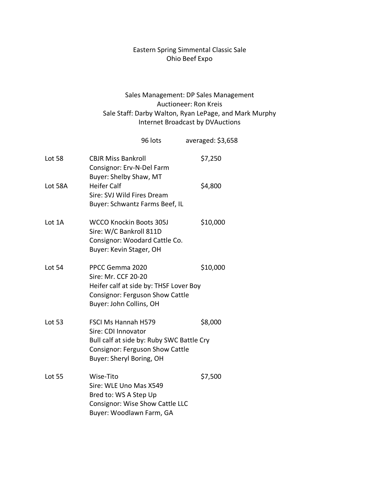## Eastern Spring Simmental Classic Sale Ohio Beef Expo

## Sales Management: DP Sales Management Auctioneer: Ron Kreis Sale Staff: Darby Walton, Ryan LePage, and Mark Murphy Internet Broadcast by DVAuctions

|               |                                                                                                                                                               | 96 lots | averaged: \$3,658 |
|---------------|---------------------------------------------------------------------------------------------------------------------------------------------------------------|---------|-------------------|
| Lot 58        | <b>CBJR Miss Bankroll</b><br>Consignor: Erv-N-Del Farm<br>Buyer: Shelby Shaw, MT                                                                              |         | \$7,250           |
| Lot 58A       | <b>Heifer Calf</b><br>Sire: SVJ Wild Fires Dream<br>Buyer: Schwantz Farms Beef, IL                                                                            |         | \$4,800           |
| Lot 1A        | <b>WCCO Knockin Boots 305J</b><br>Sire: W/C Bankroll 811D<br>Consignor: Woodard Cattle Co.<br>Buyer: Kevin Stager, OH                                         |         | \$10,000          |
| Lot 54        | PPCC Gemma 2020<br>Sire: Mr. CCF 20-20<br>Heifer calf at side by: THSF Lover Boy<br><b>Consignor: Ferguson Show Cattle</b><br>Buyer: John Collins, OH         |         | \$10,000          |
| <b>Lot 53</b> | <b>FSCI Ms Hannah H579</b><br>Sire: CDI Innovator<br>Bull calf at side by: Ruby SWC Battle Cry<br>Consignor: Ferguson Show Cattle<br>Buyer: Sheryl Boring, OH |         | \$8,000           |
| <b>Lot 55</b> | Wise-Tito<br>Sire: WLE Uno Mas X549<br>Bred to: WS A Step Up<br>Consignor: Wise Show Cattle LLC<br>Buyer: Woodlawn Farm, GA                                   |         | \$7,500           |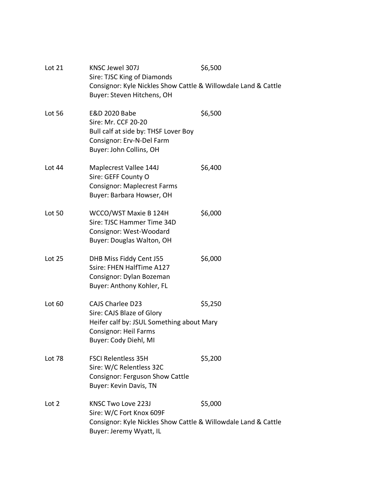| Lot 21           | KNSC Jewel 307J<br>Sire: TJSC King of Diamonds<br>Consignor: Kyle Nickles Show Cattle & Willowdale Land & Cattle<br>Buyer: Steven Hitchens, OH             | \$6,500 |
|------------------|------------------------------------------------------------------------------------------------------------------------------------------------------------|---------|
| Lot 56           | E&D 2020 Babe<br>Sire: Mr. CCF 20-20<br>Bull calf at side by: THSF Lover Boy<br>Consignor: Erv-N-Del Farm<br>Buyer: John Collins, OH                       | \$6,500 |
| Lot 44           | Maplecrest Vallee 144J<br>Sire: GEFF County O<br><b>Consignor: Maplecrest Farms</b><br>Buyer: Barbara Howser, OH                                           | \$6,400 |
| Lot 50           | WCCO/WST Maxie B 124H<br>Sire: TJSC Hammer Time 34D<br>Consignor: West-Woodard<br>Buyer: Douglas Walton, OH                                                | \$6,000 |
| Lot 25           | DHB Miss Fiddy Cent J55<br>Ssire: FHEN HalfTime A127<br>Consignor: Dylan Bozeman<br>Buyer: Anthony Kohler, FL                                              | \$6,000 |
| Lot 60           | <b>CAJS Charlee D23</b><br>Sire: CAJS Blaze of Glory<br>Heifer calf by: JSUL Something about Mary<br><b>Consignor: Heil Farms</b><br>Buyer: Cody Diehl, MI | \$5,250 |
| Lot 78           | <b>FSCI Relentless 35H</b><br>Sire: W/C Relentless 32C<br>Consignor: Ferguson Show Cattle<br>Buyer: Kevin Davis, TN                                        | \$5,200 |
| Lot <sub>2</sub> | KNSC Two Love 223J<br>Sire: W/C Fort Knox 609F<br>Consignor: Kyle Nickles Show Cattle & Willowdale Land & Cattle<br>Buyer: Jeremy Wyatt, IL                | \$5,000 |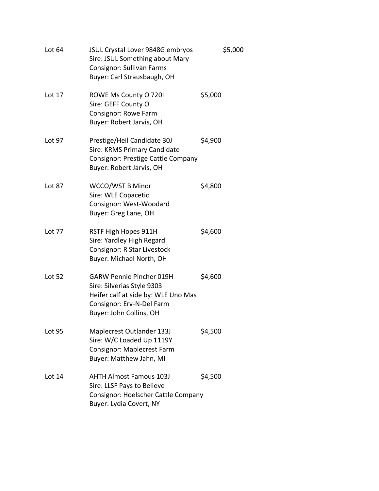| Lot 64        | JSUL Crystal Lover 9848G embryos<br>Sire: JSUL Something about Mary<br><b>Consignor: Sullivan Farms</b><br>Buyer: Carl Strausbaugh, OH                       | \$5,000 |
|---------------|--------------------------------------------------------------------------------------------------------------------------------------------------------------|---------|
| Lot 17        | ROWE Ms County O 720I<br>Sire: GEFF County O<br><b>Consignor: Rowe Farm</b><br>Buyer: Robert Jarvis, OH                                                      | \$5,000 |
| Lot 97        | Prestige/Heil Candidate 30J<br>Sire: KRMS Primary Candidate<br>Consignor: Prestige Cattle Company<br>Buyer: Robert Jarvis, OH                                | \$4,900 |
| Lot 87        | <b>WCCO/WST B Minor</b><br>Sire: WLE Copacetic<br>Consignor: West-Woodard<br>Buyer: Greg Lane, OH                                                            | \$4,800 |
| Lot 77        | RSTF High Hopes 911H<br>Sire: Yardley High Regard<br>Consignor: R Star Livestock<br>Buyer: Michael North, OH                                                 | \$4,600 |
| <b>Lot 52</b> | <b>GARW Pennie Pincher 019H</b><br>Sire: Silverias Style 9303<br>Heifer calf at side by: WLE Uno Mas<br>Consignor: Erv-N-Del Farm<br>Buyer: John Collins, OH | \$4,600 |
| <b>Lot 95</b> | Maplecrest Outlander 133J<br>Sire: W/C Loaded Up 1119Y<br><b>Consignor: Maplecrest Farm</b><br>Buyer: Matthew Jahn, MI                                       | \$4,500 |
| Lot 14        | <b>AHTH Almost Famous 103J</b><br>Sire: LLSF Pays to Believe<br>Consignor: Hoelscher Cattle Company<br>Buyer: Lydia Covert, NY                               | \$4,500 |